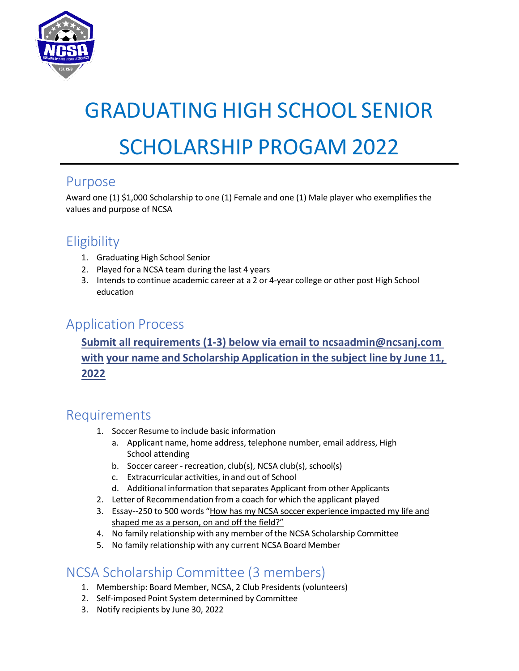

# GRADUATING HIGH SCHOOL SENIOR SCHOLARSHIP PROGAM 2022

#### Purpose

Award one (1) \$1,000 Scholarship to one (1) Female and one (1) Male player who exemplifies the values and purpose of NCSA

## **Eligibility**

- 1. Graduating High School Senior
- 2. Played for a NCSA team during the last 4 years
- 3. Intends to continue academic career at a 2 or 4-year college or other post High School education

#### Application Process

**Submit all requirements (1-3) below via email to ncsaadmin@ncsanj.com with your name and Scholarship Application in the subject line by June 11, 2022**

#### Requirements

- 1. Soccer Resume to include basic information
	- a. Applicant name, home address, telephone number, email address, High School attending
	- b. Soccer career recreation, club(s), NCSA club(s), school(s)
	- c. Extracurricular activities, in and out of School
	- d. Additional information that separates Applicant from other Applicants
- 2. Letter of Recommendation from a coach for which the applicant played
- 3. Essay--250 to 500 words "How has my NCSA soccer experience impacted my life and shaped me as a person, on and off the field?"
- 4. No family relationship with any member of the NCSA Scholarship Committee
- 5. No family relationship with any current NCSA Board Member

### NCSA Scholarship Committee (3 members)

- 1. Membership: Board Member, NCSA, 2 Club Presidents (volunteers)
- 2. Self-imposed Point System determined by Committee
- 3. Notify recipients by June 30, 2022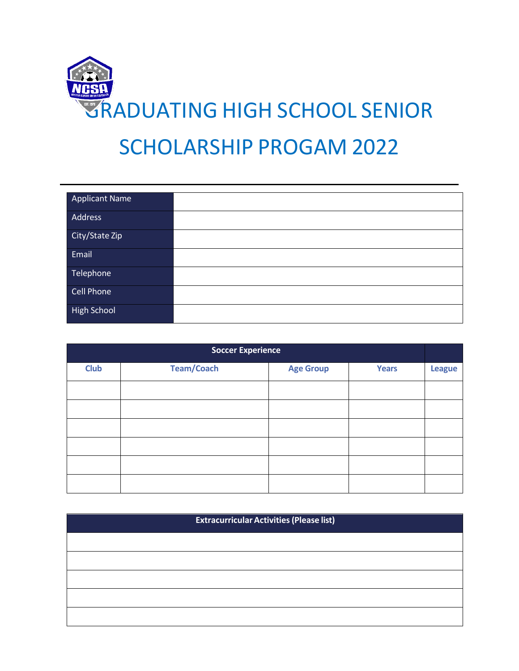

| <b>Applicant Name</b> |  |
|-----------------------|--|
| Address               |  |
| City/State Zip        |  |
| Email                 |  |
| Telephone             |  |
| <b>Cell Phone</b>     |  |
| <b>High School</b>    |  |

| <b>Soccer Experience</b> |                   |                  |              |               |
|--------------------------|-------------------|------------------|--------------|---------------|
| <b>Club</b>              | <b>Team/Coach</b> | <b>Age Group</b> | <b>Years</b> | <b>League</b> |
|                          |                   |                  |              |               |
|                          |                   |                  |              |               |
|                          |                   |                  |              |               |
|                          |                   |                  |              |               |
|                          |                   |                  |              |               |
|                          |                   |                  |              |               |

| <b>Extracurricular Activities (Please list)</b> |  |  |
|-------------------------------------------------|--|--|
|                                                 |  |  |
|                                                 |  |  |
|                                                 |  |  |
|                                                 |  |  |
|                                                 |  |  |